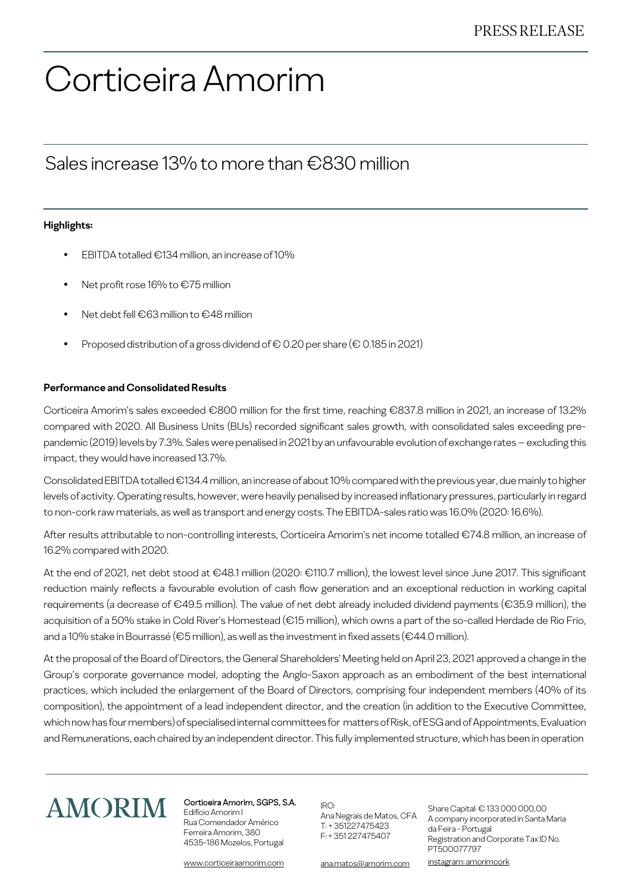# Corticeira Amorim

### Sales increase 13% to more than €830 million

#### **Highlights:**

- EBITDA totalled €134 million, an increase of 10%
- Net profit rose 16% to €75 million
- Net debt fell €63 million to €48 million
- Proposed distribution of a gross dividend of  $\epsilon$  0.20 per share ( $\epsilon$  0.185 in 2021)

#### **Performance and Consolidated Results**

Corticeira Amorim's sales exceeded €800 million for the first time, reaching €837.8 million in 2021, an increase of 13.2% compared with 2020. All Business Units (BUs) recorded significant sales growth, with consolidated sales exceeding prepandemic (2019) levels by 7.3%. Sales were penalised in 2021 by an unfavourable evolution of exchange rates – excluding this impact, they would have increased 13.7%.

Consolidated EBITDA totalled €134.4 million, an increase of about 10% compared with the previous year, due mainly to higher levels of activity. Operating results, however, were heavily penalised by increased inflationary pressures, particularly in regard to non-cork raw materials, as well as transport and energy costs. The EBITDA-sales ratio was 16.0% (2020: 16.6%).

After results attributable to non-controlling interests, Corticeira Amorim's net income totalled €74.8 million, an increase of 16.2% compared with 2020.

At the end of 2021, net debt stood at €48.1 million (2020: €110.7 million), the lowest level since June 2017. This significant reduction mainly reflects a favourable evolution of cash flow generation and an exceptional reduction in working capital requirements (a decrease of €49.5 million). The value of net debt already included dividend payments (€35.9 million), the acquisition of a 50% stake in Cold River's Homestead (€15 million), which owns a part of the so-called Herdade de Rio Frio, and a 10% stake in Bourrassé (€5 million), as well as the investment in fixed assets (€44.0 million).

At the proposal of the Board of Directors, the General Shareholders' Meeting held on April 23, 2021 approved a change in the Group's corporate governance model, adopting the Anglo-Saxon approach as an embodiment of the best international practices, which included the enlargement of the Board of Directors, comprising four independent members (40% of its composition), the appointment of a lead independent director, and the creation (in addition to the Executive Committee, which now has four members) of specialised internal committees for matters of Risk, of ESG and of Appointments, Evaluation and Remunerations, each chaired by an independent director. This fully implemented structure, which has been in operation



#### Corticeira Amorim, SGPS, S.A.

Edifício Amorim I Rua Comendador Américo Ferreira Amorim, 380 4535-186 Mozelos, Portugal

www.corticeiraamorim.com

IRO:

Ana Negrais de Matos, CFA  $T· + 351227475423$ F: + 351 227475407

Share Capital: € 133 000 000,00 A company incorporated in Santa Maria da Feira - Portugal Registration and Corporate Tax ID No. PT500077797 instagram: amorimcork

ana.matos@amorim.com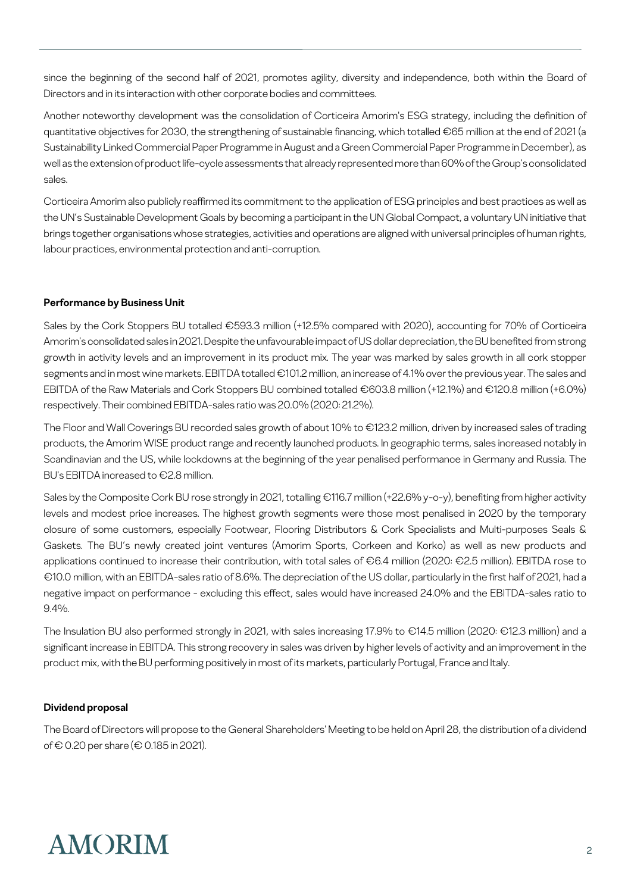since the beginning of the second half of 2021, promotes agility, diversity and independence, both within the Board of Directors and in its interaction with other corporate bodies and committees.

Another noteworthy development was the consolidation of Corticeira Amorim's ESG strategy, including the definition of quantitative objectives for 2030, the strengthening of sustainable financing, which totalled €65 million at the end of 2021 (a Sustainability Linked Commercial Paper Programme in August and a Green Commercial Paper Programme in December), as well as the extension of product life-cycle assessments that already represented more than 60% of the Group's consolidated sales.

Corticeira Amorim also publicly reaffirmed its commitment to the application of ESG principles and best practices as well as the UN's Sustainable Development Goals by becoming a participant in the UN Global Compact, a voluntary UN initiative that brings together organisations whose strategies, activities and operations are aligned with universal principles of human rights, labour practices, environmental protection and anti-corruption.

#### **Performance by Business Unit**

Sales by the Cork Stoppers BU totalled €593.3 million (+12.5% compared with 2020), accounting for 70% of Corticeira Amorim's consolidated sales in 2021. Despite the unfavourable impact of US dollar depreciation, the BU benefited from strong growth in activity levels and an improvement in its product mix. The year was marked by sales growth in all cork stopper segments and in most wine markets. EBITDA totalled €101.2 million, an increase of 4.1% over the previous year. The sales and EBITDA of the Raw Materials and Cork Stoppers BU combined totalled €603.8 million (+12.1%) and €120.8 million (+6.0%) respectively. Their combined EBITDA-sales ratio was 20.0% (2020: 21.2%).

The Floor and Wall Coverings BU recorded sales growth of about 10% to €123.2 million, driven by increased sales of trading products, the Amorim WISE product range and recently launched products. In geographic terms, sales increased notably in Scandinavian and the US, while lockdowns at the beginning of the year penalised performance in Germany and Russia. The BU's EBITDA increased to €2.8 million.

Sales by the Composite Cork BU rose strongly in 2021, totalling €116.7 million (+22.6% y-o-y), benefiting from higher activity levels and modest price increases. The highest growth segments were those most penalised in 2020 by the temporary closure of some customers, especially Footwear, Flooring Distributors & Cork Specialists and Multi-purposes Seals & Gaskets. The BU's newly created joint ventures (Amorim Sports, Corkeen and Korko) as well as new products and applications continued to increase their contribution, with total sales of €6.4 million (2020: €2.5 million). EBITDA rose to €10.0 million, with an EBITDA-sales ratio of 8.6%. The depreciation of the US dollar, particularly in the first half of 2021, had a negative impact on performance - excluding this effect, sales would have increased 24.0% and the EBITDA-sales ratio to 9.4%.

The Insulation BU also performed strongly in 2021, with sales increasing 17.9% to €14.5 million (2020: €12.3 million) and a significant increase in EBITDA. This strong recovery in sales was driven by higher levels of activity and an improvement in the product mix, with the BU performing positively in most of its markets, particularly Portugal, France and Italy.

#### **Dividend proposal**

The Board of Directors will propose to the General Shareholders' Meeting to be held on April 28, the distribution of a dividend of € 0.20 per share (€ 0.185 in 2021).

## **AMORIM**